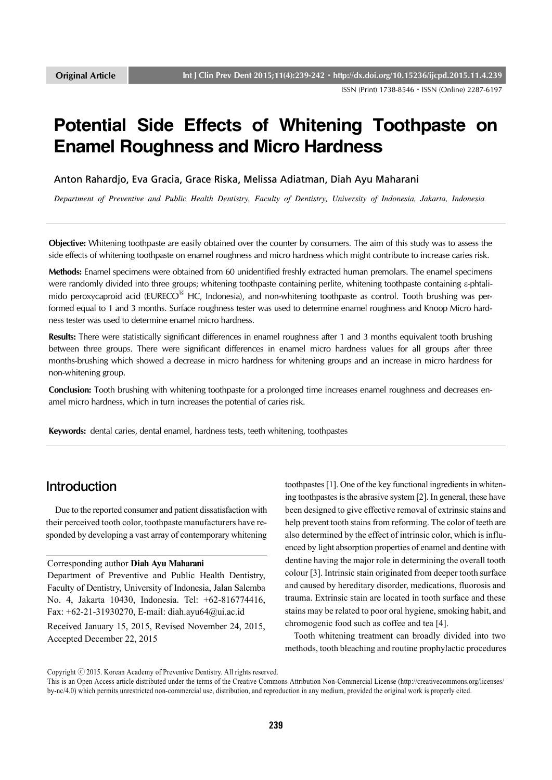ISSN (Print) 1738-8546ㆍISSN (Online) 2287-6197

# **Potential Side Effects of Whitening Toothpaste on Enamel Roughness and Micro Hardness**

Anton Rahardjo, Eva Gracia, Grace Riska, Melissa Adiatman, Diah Ayu Maharani

*Department of Preventive and Public Health Dentistry, Faculty of Dentistry, University of Indonesia, Jakarta, Indonesia*

**Objective:** Whitening toothpaste are easily obtained over the counter by consumers. The aim of this study was to assess the side effects of whitening toothpaste on enamel roughness and micro hardness which might contribute to increase caries risk.

**Methods:** Enamel specimens were obtained from 60 unidentified freshly extracted human premolars. The enamel specimens were randomly divided into three groups; whitening toothpaste containing perlite, whitening toothpaste containing  $\varepsilon$ -phtalimido peroxycaproid acid (EURECO<sup>®</sup> HC, Indonesia), and non-whitening toothpaste as control. Tooth brushing was performed equal to 1 and 3 months. Surface roughness tester was used to determine enamel roughness and Knoop Micro hardness tester was used to determine enamel micro hardness.

**Results:** There were statistically significant differences in enamel roughness after 1 and 3 months equivalent tooth brushing between three groups. There were significant differences in enamel micro hardness values for all groups after three months-brushing which showed a decrease in micro hardness for whitening groups and an increase in micro hardness for non-whitening group.

**Conclusion:** Tooth brushing with whitening toothpaste for a prolonged time increases enamel roughness and decreases enamel micro hardness, which in turn increases the potential of caries risk.

**Keywords:** dental caries, dental enamel, hardness tests, teeth whitening, toothpastes

# Introduction

 Due to the reported consumer and patient dissatisfaction with their perceived tooth color, toothpaste manufacturers have responded by developing a vast array of contemporary whitening

#### Corresponding author **Diah Ayu Maharani**

Department of Preventive and Public Health Dentistry, Faculty of Dentistry, University of Indonesia, Jalan Salemba No. 4, Jakarta 10430, Indonesia. Tel: +62-816774416, Fax: +62-21-31930270, E-mail: diah.ayu64@ui.ac.id

Received January 15, 2015, Revised November 24, 2015, Accepted December 22, 2015

toothpastes [1]. One of the key functional ingredients in whitening toothpastes is the abrasive system [2]. In general, these have been designed to give effective removal of extrinsic stains and help prevent tooth stains from reforming. The color of teeth are also determined by the effect of intrinsic color, which is influenced by light absorption properties of enamel and dentine with dentine having the major role in determining the overall tooth colour [3]. Intrinsic stain originated from deeper tooth surface and caused by hereditary disorder, medications, fluorosis and trauma. Extrinsic stain are located in tooth surface and these stains may be related to poor oral hygiene, smoking habit, and chromogenic food such as coffee and tea [4].

 Tooth whitening treatment can broadly divided into two methods, tooth bleaching and routine prophylactic procedures

Copyright ⓒ 2015. Korean Academy of Preventive Dentistry. All rights reserved.

This is an Open Access article distributed under the terms of the Creative Commons Attribution Non-Commercial License (http://creativecommons.org/licenses/ by-nc/4.0) which permits unrestricted non-commercial use, distribution, and reproduction in any medium, provided the original work is properly cited.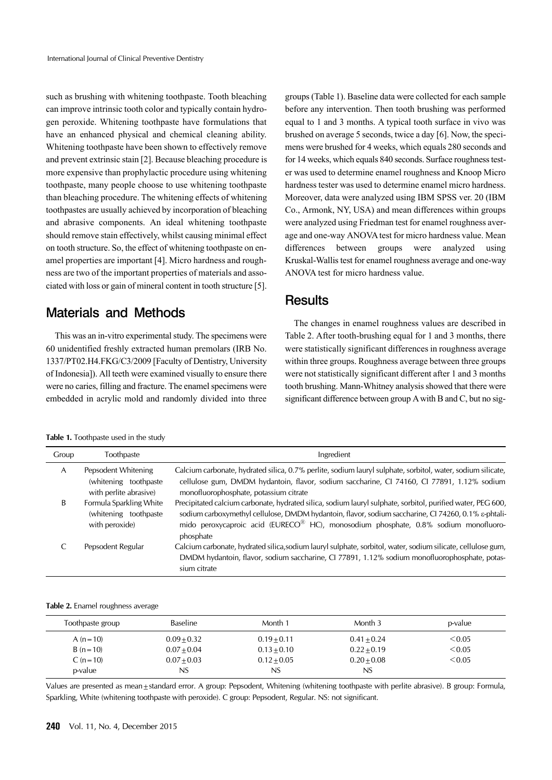such as brushing with whitening toothpaste. Tooth bleaching can improve intrinsic tooth color and typically contain hydrogen peroxide. Whitening toothpaste have formulations that have an enhanced physical and chemical cleaning ability. Whitening toothpaste have been shown to effectively remove and prevent extrinsic stain [2]. Because bleaching procedure is more expensive than prophylactic procedure using whitening toothpaste, many people choose to use whitening toothpaste than bleaching procedure. The whitening effects of whitening toothpastes are usually achieved by incorporation of bleaching and abrasive components. An ideal whitening toothpaste should remove stain effectively, whilst causing minimal effect on tooth structure. So, the effect of whitening toothpaste on enamel properties are important [4]. Micro hardness and roughness are two of the important properties of materials and associated with loss or gain of mineral content in tooth structure [5].

### Materials and Methods

 This was an in-vitro experimental study. The specimens were 60 unidentified freshly extracted human premolars (IRB No. 1337/PT02.H4.FKG/C3/2009 [Faculty of Dentistry, University of Indonesia]). All teeth were examined visually to ensure there were no caries, filling and fracture. The enamel specimens were embedded in acrylic mold and randomly divided into three

groups (Table 1). Baseline data were collected for each sample before any intervention. Then tooth brushing was performed equal to 1 and 3 months. A typical tooth surface in vivo was brushed on average 5 seconds, twice a day [6]. Now, the specimens were brushed for 4 weeks, which equals 280 seconds and for 14 weeks, which equals 840 seconds. Surface roughness tester was used to determine enamel roughness and Knoop Micro hardness tester was used to determine enamel micro hardness. Moreover, data were analyzed using IBM SPSS ver. 20 (IBM Co., Armonk, NY, USA) and mean differences within groups were analyzed using Friedman test for enamel roughness average and one-way ANOVA test for micro hardness value. Mean differences between groups were analyzed using Kruskal-Wallis test for enamel roughness average and one-way ANOVA test for micro hardness value.

### **Results**

 The changes in enamel roughness values are described in Table 2. After tooth-brushing equal for 1 and 3 months, there were statistically significant differences in roughness average within three groups. Roughness average between three groups were not statistically significant different after 1 and 3 months tooth brushing. Mann-Whitney analysis showed that there were significant difference between group A with B and C, but no sig-

|  |  | <b>Table 1.</b> Toothpaste used in the study |  |  |
|--|--|----------------------------------------------|--|--|
|--|--|----------------------------------------------|--|--|

| Group | Toothpaste                                                              | Ingredient                                                                                                                                                                                                                                                                                                             |
|-------|-------------------------------------------------------------------------|------------------------------------------------------------------------------------------------------------------------------------------------------------------------------------------------------------------------------------------------------------------------------------------------------------------------|
| A     | Pepsodent Whitening<br>(whitening toothpaste)<br>with perlite abrasive) | Calcium carbonate, hydrated silica, 0.7% perlite, sodium lauryl sulphate, sorbitol, water, sodium silicate,<br>cellulose gum, DMDM hydantoin, flavor, sodium saccharine, Cl 74160, Cl 77891, 1.12% sodium<br>monofluorophosphate, potassium citrate                                                                    |
| B     | Formula Sparkling White<br>(whitening toothpaste)<br>with peroxide)     | Precipitated calcium carbonate, hydrated silica, sodium lauryl sulphate, sorbitol, purified water, PEG 600,<br>sodium carboxymethyl cellulose, DMDM hydantoin, flavor, sodium saccharine, CI 74260, 0.1% &-phtali-<br>mido peroxycaproic acid (EURECO® HC), monosodium phosphate, 0.8% sodium monofluoro-<br>phosphate |
|       | Pepsodent Regular                                                       | Calcium carbonate, hydrated silica, sodium lauryl sulphate, sorbitol, water, sodium silicate, cellulose gum,<br>DMDM hydantoin, flavor, sodium saccharine, CI 77891, 1.12% sodium monofluorophosphate, potas-<br>sium citrate                                                                                          |

#### **Table 2.** Enamel roughness average

| Toothpaste group | <b>Baseline</b> | Month 1       | Month 3       | p-value |
|------------------|-----------------|---------------|---------------|---------|
| A $(n=10)$       | $0.09 + 0.32$   | $0.19 + 0.11$ | $0.41 + 0.24$ | < 0.05  |
| $B(n=10)$        | $0.07 + 0.04$   | $0.13 + 0.10$ | $0.22 + 0.19$ | < 0.05  |
| $C (n = 10)$     | $0.07 + 0.03$   | $0.12 + 0.05$ | $0.20 + 0.08$ | < 0.05  |
| p-value          | NS              | NS            | NS            |         |

Values are presented as mean±standard error. A group: Pepsodent, Whitening (whitening toothpaste with perlite abrasive). B group: Formula, Sparkling, White (whitening toothpaste with peroxide). C group: Pepsodent, Regular. NS: not significant.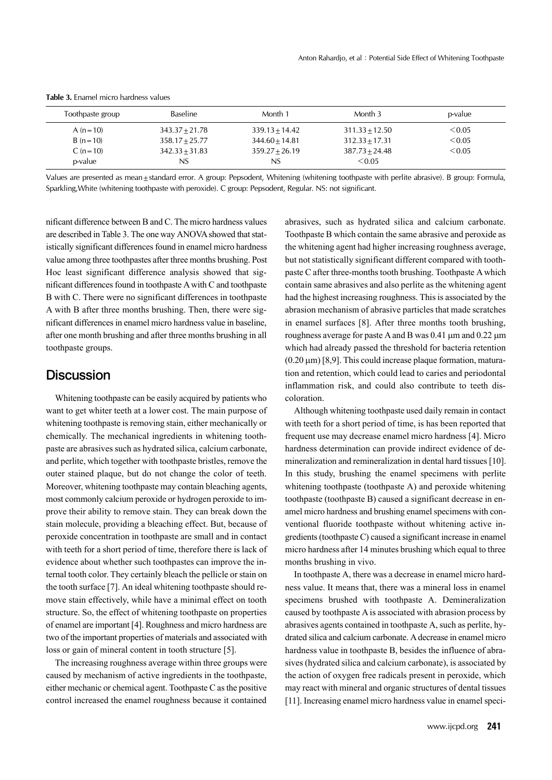| Toothpaste group | <b>Baseline</b>  | Month 1          | Month 3          | p-value |
|------------------|------------------|------------------|------------------|---------|
| A $(n=10)$       | $343.37 + 21.78$ | $339.13 + 14.42$ | $311.33 + 12.50$ | < 0.05  |
| $B(n=10)$        | $358.17 + 25.77$ | $344.60 + 14.81$ | $312.33 + 17.31$ | < 0.05  |
| $C (n = 10)$     | $342.33 + 31.83$ | $359.27 + 26.19$ | $387.73 + 24.48$ | < 0.05  |
| p-value          | NS               | NS               | < 0.05           |         |

**Table 3.** Enamel micro hardness values

Values are presented as mean±standard error. A group: Pepsodent, Whitening (whitening toothpaste with perlite abrasive). B group: Formula, Sparkling,White (whitening toothpaste with peroxide). C group: Pepsodent, Regular. NS: not significant.

nificant difference between B and C. The micro hardness values are described in Table 3. The one way ANOVA showed that statistically significant differences found in enamel micro hardness value among three toothpastes after three months brushing. Post Hoc least significant difference analysis showed that significant differences found in toothpaste A with C and toothpaste B with C. There were no significant differences in toothpaste A with B after three months brushing. Then, there were significant differences in enamel micro hardness value in baseline, after one month brushing and after three months brushing in all toothpaste groups.

#### **Discussion**

 Whitening toothpaste can be easily acquired by patients who want to get whiter teeth at a lower cost. The main purpose of whitening toothpaste is removing stain, either mechanically or chemically. The mechanical ingredients in whitening toothpaste are abrasives such as hydrated silica, calcium carbonate, and perlite, which together with toothpaste bristles, remove the outer stained plaque, but do not change the color of teeth. Moreover, whitening toothpaste may contain bleaching agents, most commonly calcium peroxide or hydrogen peroxide to improve their ability to remove stain. They can break down the stain molecule, providing a bleaching effect. But, because of peroxide concentration in toothpaste are small and in contact with teeth for a short period of time, therefore there is lack of evidence about whether such toothpastes can improve the internal tooth color. They certainly bleach the pellicle or stain on the tooth surface [7]. An ideal whitening toothpaste should remove stain effectively, while have a minimal effect on tooth structure. So, the effect of whitening toothpaste on properties of enamel are important [4]. Roughness and micro hardness are two of the important properties of materials and associated with loss or gain of mineral content in tooth structure [5].

 The increasing roughness average within three groups were caused by mechanism of active ingredients in the toothpaste, either mechanic or chemical agent. Toothpaste C as the positive control increased the enamel roughness because it contained

abrasives, such as hydrated silica and calcium carbonate. Toothpaste B which contain the same abrasive and peroxide as the whitening agent had higher increasing roughness average, but not statistically significant different compared with toothpaste C after three-months tooth brushing. Toothpaste A which contain same abrasives and also perlite as the whitening agent had the highest increasing roughness. This is associated by the abrasion mechanism of abrasive particles that made scratches in enamel surfaces [8]. After three months tooth brushing, roughness average for paste A and B was  $0.41 \mu m$  and  $0.22 \mu m$ which had already passed the threshold for bacteria retention  $(0.20 \,\mu m)$  [8,9]. This could increase plaque formation, maturation and retention, which could lead to caries and periodontal inflammation risk, and could also contribute to teeth discoloration.

 Although whitening toothpaste used daily remain in contact with teeth for a short period of time, is has been reported that frequent use may decrease enamel micro hardness [4]. Micro hardness determination can provide indirect evidence of demineralization and remineralization in dental hard tissues [10]. In this study, brushing the enamel specimens with perlite whitening toothpaste (toothpaste A) and peroxide whitening toothpaste (toothpaste B) caused a significant decrease in enamel micro hardness and brushing enamel specimens with conventional fluoride toothpaste without whitening active ingredients (toothpaste C) caused a significant increase in enamel micro hardness after 14 minutes brushing which equal to three months brushing in vivo.

 In toothpaste A, there was a decrease in enamel micro hardness value. It means that, there was a mineral loss in enamel specimens brushed with toothpaste A. Demineralization caused by toothpaste A is associated with abrasion process by abrasives agents contained in toothpaste A, such as perlite, hydrated silica and calcium carbonate. A decrease in enamel micro hardness value in toothpaste B, besides the influence of abrasives (hydrated silica and calcium carbonate), is associated by the action of oxygen free radicals present in peroxide, which may react with mineral and organic structures of dental tissues [11]. Increasing enamel micro hardness value in enamel speci